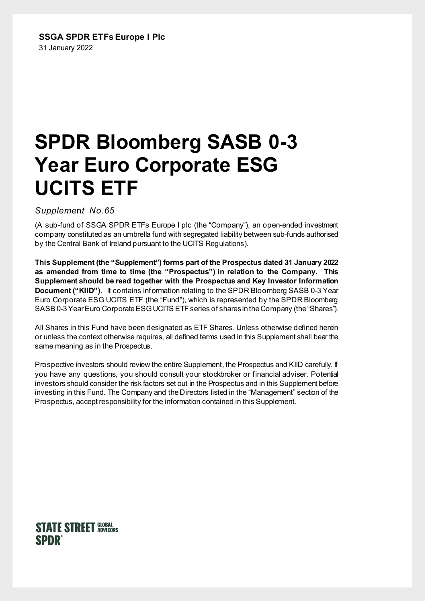# **SSGA SPDR ETFs Europe I Plc** 31 January 2022

# **SPDR Bloomberg SASB 0-3 Year Euro Corporate ESG UCITS ETF**

*Suppleme*n*t No.65*

(A sub-fund of SSGA SPDR ETFs Europe I plc (the "Company"), an open-ended investment company constituted as an umbrella fund with segregated liability between sub-funds authorised by the Central Bank of Ireland pursuant to the UCITS Regulations).

**This Supplement (the "Supplement") forms part of the Prospectus dated 31 January 2022 as amended from time to time (the "Prospectus") in relation to the Company. This Supplement should be read together with the Prospectus and Key Investor Information Document ("KIID")**. It contains information relating to the SPDR Bloomberg SASB 0-3 Year Euro Corporate ESG UCITS ETF (the "Fund"), which is represented by the SPDR Bloomberg SASB 0-3 Year Euro Corporate ESG UCITS ETF series of shares in the Company (the "Shares").

All Shares in this Fund have been designated as ETF Shares. Unless otherwise defined herein or unless the context otherwise requires, all defined terms used in this Supplement shall bear the same meaning as in the Prospectus.

Prospective investors should review the entire Supplement, the Prospectus and KIID carefully. If you have any questions, you should consult your stockbroker or financial adviser. Potential investors should consider the risk factors set out in the Prospectus and in this Supplement before investing in this Fund. The Company and the Directors listed in the "Management" section of the Prospectus, accept responsibility for the information contained in this Supplement.

# **STATE STREET GLOBAL SPDR**®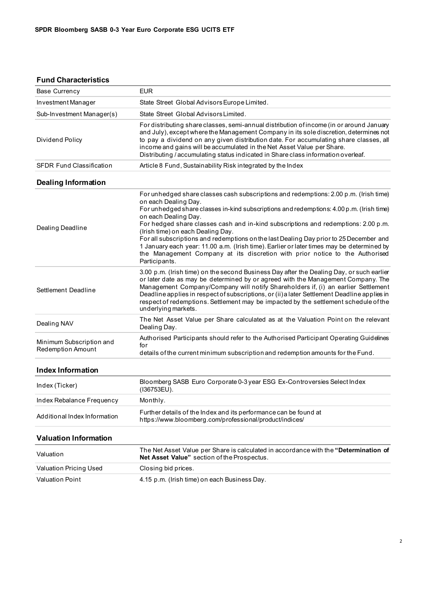### **Fund Characteristics**

| <b>Base Currency</b>                          | <b>EUR</b>                                                                                                                                                                                                                                                                                                                                                                                                                                                                                                                                                                                                                                           |  |  |  |  |  |
|-----------------------------------------------|------------------------------------------------------------------------------------------------------------------------------------------------------------------------------------------------------------------------------------------------------------------------------------------------------------------------------------------------------------------------------------------------------------------------------------------------------------------------------------------------------------------------------------------------------------------------------------------------------------------------------------------------------|--|--|--|--|--|
| Investment Manager                            | State Street Global Advisors Europe Limited.                                                                                                                                                                                                                                                                                                                                                                                                                                                                                                                                                                                                         |  |  |  |  |  |
| Sub-Investment Manager(s)                     | State Street Global Advisors Limited.                                                                                                                                                                                                                                                                                                                                                                                                                                                                                                                                                                                                                |  |  |  |  |  |
| Dividend Policy                               | For distributing share classes, semi-annual distribution of income (in or around January<br>and July), except where the Management Company in its sole discretion, determines not<br>to pay a dividend on any given distribution date. For accumulating share classes, all<br>income and gains will be accumulated in the Net Asset Value per Share.<br>Distributing / accumulating status indicated in Share class information overleaf.                                                                                                                                                                                                            |  |  |  |  |  |
| <b>SFDR Fund Classification</b>               | Article 8 Fund, Sustainability Risk integrated by the Index                                                                                                                                                                                                                                                                                                                                                                                                                                                                                                                                                                                          |  |  |  |  |  |
| <b>Dealing Information</b>                    |                                                                                                                                                                                                                                                                                                                                                                                                                                                                                                                                                                                                                                                      |  |  |  |  |  |
| Dealing Deadline                              | For unhedged share classes cash subscriptions and redemptions: 2.00 p.m. (Irish time)<br>on each Dealing Day.<br>For unhedged share classes in-kind subscriptions and redemptions: 4.00 p.m. (Irish time)<br>on each Dealing Day.<br>For hedged share classes cash and in-kind subscriptions and redemptions: 2.00 p.m.<br>(Irish time) on each Dealing Day.<br>For all subscriptions and redemptions on the last Dealing Day prior to 25 December and<br>1 January each year: 11.00 a.m. (Irish time). Earlier or later times may be determined by<br>the Management Company at its discretion with prior notice to the Authorised<br>Participants. |  |  |  |  |  |
| Settlement Deadline                           | 3.00 p.m. (Irish time) on the second Business Day after the Dealing Day, or such earlier<br>or later date as may be determined by or agreed with the Management Company. The<br>Management Company/Company will notify Shareholders if, (i) an earlier Settlement<br>Deadline applies in respect of subscriptions, or (ii) a later Settlement Deadline applies in<br>respect of redemptions. Settlement may be impacted by the settlement schedule of the<br>underlying markets.                                                                                                                                                                     |  |  |  |  |  |
| Dealing NAV                                   | The Net Asset Value per Share calculated as at the Valuation Point on the relevant<br>Dealing Day.                                                                                                                                                                                                                                                                                                                                                                                                                                                                                                                                                   |  |  |  |  |  |
| Minimum Subscription and<br>Redemption Amount | Authorised Participants should refer to the Authorised Participant Operating Guidelines<br>for<br>details of the current minimum subscription and redemption amounts for the Fund.                                                                                                                                                                                                                                                                                                                                                                                                                                                                   |  |  |  |  |  |
| <b>Index Information</b>                      |                                                                                                                                                                                                                                                                                                                                                                                                                                                                                                                                                                                                                                                      |  |  |  |  |  |
| Index (Ticker)                                | Bloomberg SASB Euro Corporate 0-3 year ESG Ex-Controversies Select Index<br>(I36753EU).                                                                                                                                                                                                                                                                                                                                                                                                                                                                                                                                                              |  |  |  |  |  |
| Index Rebalance Frequency                     | Monthly.                                                                                                                                                                                                                                                                                                                                                                                                                                                                                                                                                                                                                                             |  |  |  |  |  |
| Additional Index Information                  | Further details of the Index and its performance can be found at<br>https://www.bloomberg.com/professional/product/indices/                                                                                                                                                                                                                                                                                                                                                                                                                                                                                                                          |  |  |  |  |  |

#### **Valuation Information**

| Valuation              | The Net Asset Value per Share is calculated in accordance with the "Determination of<br><b>Net Asset Value"</b> section of the Prospectus. |
|------------------------|--------------------------------------------------------------------------------------------------------------------------------------------|
| Valuation Pricing Used | Closing bid prices.                                                                                                                        |
| Valuation Point        | 4.15 p.m. (Irish time) on each Business Day.                                                                                               |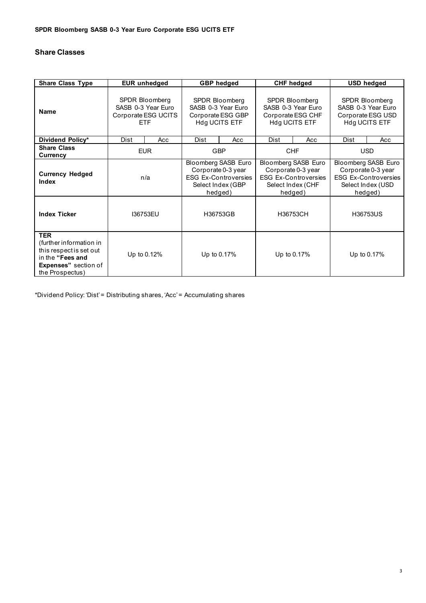# **Share Classes**

| <b>Share Class Type</b>                                                                                                                | <b>EUR</b> unhedged                                                       |     | <b>GBP</b> hedged                                                                                        |     | <b>CHF hedged</b>                                                                                        |     | <b>USD hedged</b>                                                                                        |     |
|----------------------------------------------------------------------------------------------------------------------------------------|---------------------------------------------------------------------------|-----|----------------------------------------------------------------------------------------------------------|-----|----------------------------------------------------------------------------------------------------------|-----|----------------------------------------------------------------------------------------------------------|-----|
| <b>Name</b>                                                                                                                            | SPDR Bloomberg<br>SASB 0-3 Year Euro<br>Corporate ESG UCITS<br><b>ETF</b> |     | <b>SPDR Bloomberg</b><br>SASB 0-3 Year Euro<br>Corporate ESG GBP<br>Hdg UCITS ETF                        |     | SPDR Bloomberg<br>SASB 0-3 Year Euro<br>Corporate ESG CHF<br>Hdg UCITS ETF                               |     | SPDR Bloomberg<br>SASB 0-3 Year Euro<br>Corporate ESG USD<br>Hdg UCITS ETF                               |     |
| Dividend Policy*                                                                                                                       | Dist                                                                      | Acc | Dist                                                                                                     | Acc | Dist                                                                                                     | Acc | Dist                                                                                                     | Acc |
| <b>Share Class</b><br>Currency                                                                                                         | <b>EUR</b>                                                                |     | <b>GBP</b>                                                                                               |     | <b>CHF</b>                                                                                               |     | <b>USD</b>                                                                                               |     |
| <b>Currency Hedged</b><br><b>Index</b>                                                                                                 | n/a                                                                       |     | Bloomberg SASB Euro<br>Corporate 0-3 year<br><b>ESG Ex-Controversies</b><br>Select Index (GBP<br>hedged) |     | Bloomberg SASB Euro<br>Corporate 0-3 year<br><b>ESG Ex-Controversies</b><br>Select Index (CHF<br>hedged) |     | Bloomberg SASB Euro<br>Corporate 0-3 year<br><b>ESG Ex-Controversies</b><br>Select Index (USD<br>hedged) |     |
| <b>Index Ticker</b>                                                                                                                    | 136753EU                                                                  |     | H36753GB                                                                                                 |     | H36753CH                                                                                                 |     | H36753US                                                                                                 |     |
| <b>TER</b><br>(further information in<br>this respect is set out<br>in the "Fees and<br><b>Expenses"</b> section of<br>the Prospectus) | Up to 0.12%                                                               |     | Up to 0.17%                                                                                              |     | Up to 0.17%                                                                                              |     | Up to 0.17%                                                                                              |     |

\*Dividend Policy: 'Dist' = Distributing shares, 'Acc' = Accumulating shares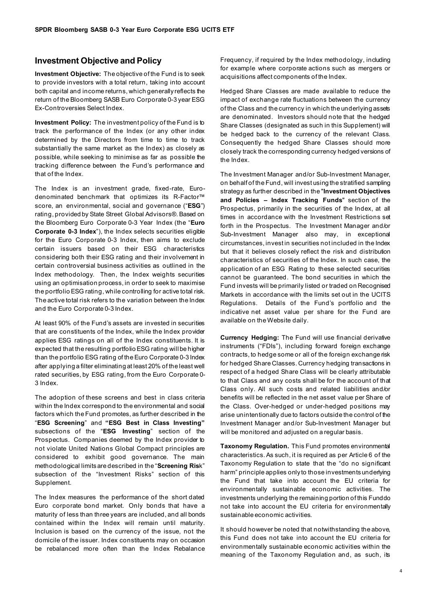# **Investment Objective and Policy**

**Investment Objective:** The objective of the Fund is to seek to provide investors with a total return, taking into account both capital and income returns, which generally reflects the return of the Bloomberg SASB Euro Corporate 0-3 year ESG Ex-Controversies Select Index.

**Investment Policy:** The investment policy of the Fund is to track the performance of the Index (or any other index determined by the Directors from time to time to track substantially the same market as the Index) as closely as possible, while seeking to minimise as far as possible the tracking difference between the Fund's performance and that of the Index.

The Index is an investment grade, fixed-rate, Eurodenominated benchmark that optimizes its R-Factor™ score, an environmental, social and governance ("**ESG**") rating, provided by State Street Global Advisors®. Based on the Bloomberg Euro Corporate 0-3 Year Index (the "**Euro Corporate 0-3 Index**"), the Index selects securities eligible for the Euro Corporate 0-3 Index, then aims to exclude certain issuers based on their ESG characteristics considering both their ESG rating and their involvement in certain controversial business activities as outlined in the Index methodology. Then, the Index weights securities using an optimisation process, in order to seek to maximise the portfolio ESG rating, while controlling for active total risk. The active total risk refers to the variation between the Index and the Euro Corporate 0-3 Index.

At least 90% of the Fund's assets are invested in securities that are constituents of the Index, while the Index provider applies ESG ratings on all of the Index constituents. It is expected that the resulting portfolio ESG rating will be higher than the portfolio ESG rating of the Euro Corporate 0-3 Index after applying a filter eliminating at least 20% of the least well rated securities, by ESG rating, from the Euro Corporate 0- 3 Index.

The adoption of these screens and best in class criteria within the Index correspond to the environmental and social factors which the Fund promotes, as further described in the "**ESG Screening**" and **"ESG Best in Class Investing"** subsections of the "**ESG Investing**" section of the Prospectus. Companies deemed by the Index provider to not violate United Nations Global Compact principles are considered to exhibit good governance. The main methodological limits are described in the "**Screening Ris**k" subsection of the "Investment Risks" section of this Supplement.

The Index measures the performance of the short dated Euro corporate bond market. Only bonds that have a maturity of less than three years are included, and all bonds contained within the Index will remain until maturity. Inclusion is based on the currency of the issue, not the domicile of the issuer. Index constituents may on occasion be rebalanced more often than the Index Rebalance

Frequency, if required by the Index methodology, including for example where corporate actions such as mergers or acquisitions affect components of the Index.

Hedged Share Classes are made available to reduce the impact of exchange rate fluctuations between the currency of the Class and the currency in which the underlying assets are denominated. Investors should note that the hedged Share Classes (designated as such in this Supplement) will be hedged back to the currency of the relevant Class. Consequently the hedged Share Classes should more closely track the corresponding currency hedged versions of the Index.

The Investment Manager and/or Sub-Investment Manager, on behalf of the Fund, will invest using the stratified sampling strategy as further described in the "**Investment Objectives and Policies – Index Tracking Funds**" section of the Prospectus, primarily in the securities of the Index, at all times in accordance with the Investment Restrictions set forth in the Prospectus. The Investment Manager and/or Sub-Investment Manager also may, in exceptional circumstances, invest in securities not included in the Index but that it believes closely reflect the risk and distribution characteristics of securities of the Index. In such case, the application of an ESG Rating to these selected securities cannot be guaranteed. The bond securities in which the Fund invests will be primarily listed or traded on Recognised Markets in accordance with the limits set out in the UCITS Regulations. Details of the Fund's portfolio and the indicative net asset value per share for the Fund are available on the Website daily.

**Currency Hedging:** The Fund will use financial derivative instruments ("FDIs"), including forward foreign exchange contracts, to hedge some or all of the foreign exchange risk for hedged Share Classes. Currency hedging transactions in respect of a hedged Share Class will be clearly attributable to that Class and any costs shall be for the account of that Class only. All such costs and related liabilities and/or benefits will be reflected in the net asset value per Share of the Class. Over-hedged or under-hedged positions may arise unintentionally due to factors outside the control of the Investment Manager and/or Sub-Investment Manager but will be monitored and adjusted on a regular basis.

**Taxonomy Regulation.** This Fund promotes environmental characteristics. As such, it is required as per Article 6 of the Taxonomy Regulation to state that the "do no significant harm" principle applies only to those investments underlying the Fund that take into account the EU criteria for environmentally sustainable economic activities. The investments underlying the remaining portion of this Fund do not take into account the EU criteria for environmentally sustainable economic activities.

It should however be noted that notwithstanding the above, this Fund does not take into account the EU criteria for environmentally sustainable economic activities within the meaning of the Taxonomy Regulation and, as such, its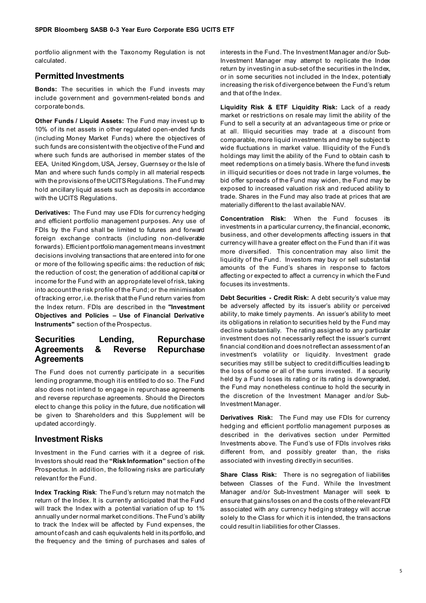portfolio alignment with the Taxonomy Regulation is not calculated.

# **Permitted Investments**

**Bonds:** The securities in which the Fund invests may include government and government-related bonds and corporate bonds.

**Other Funds / Liquid Assets:** The Fund may invest up to 10% of its net assets in other regulated open-ended funds (including Money Market Funds) where the objectives of such funds are consistent with the objective of the Fund and where such funds are authorised in member states of the EEA, United Kingdom, USA, Jersey, Guernsey or the Isle of Man and where such funds comply in all material respects with the provisions of the UCITS Regulations. The Fund may hold ancillary liquid assets such as deposits in accordance with the UCITS Regulations.

**Derivatives:** The Fund may use FDIs for currency hedging and efficient portfolio management purposes. Any use of FDIs by the Fund shall be limited to futures and forward foreign exchange contracts (including non-deliverable forwards). Efficient portfolio management means investment decisions involving transactions that are entered into for one or more of the following specific aims: the reduction of risk; the reduction of cost; the generation of additional capital or income for the Fund with an appropriate level of risk, taking into account the risk profile of the Fund; or the minimisation of tracking error, i.e. the risk that the Fund return varies from the Index return. FDIs are described in the **"Investment Objectives and Policies – Use of Financial Derivative Instruments"** section of the Prospectus.

## **Securities Lending, Repurchase Agreements & Reverse Repurchase Agreements**

The Fund does not currently participate in a securities lending programme, though it is entitled to do so. The Fund also does not intend to engage in repurchase agreements and reverse repurchase agreements. Should the Directors elect to change this policy in the future, due notification will be given to Shareholders and this Supplement will be updated accordingly.

#### **Investment Risks**

Investment in the Fund carries with it a degree of risk. Investors should read the **"Risk Information"** section of the Prospectus. In addition, the following risks are particularly relevant for the Fund.

**Index Tracking Risk**: The Fund's return may not match the return of the Index. It is currently anticipated that the Fund will track the Index with a potential variation of up to 1% annually under normal market conditions. The Fund's ability to track the Index will be affected by Fund expenses, the amount of cash and cash equivalents held in its portfolio, and the frequency and the timing of purchases and sales of interests in the Fund. The Investment Manager and/or Sub-Investment Manager may attempt to replicate the Index return by investing in a sub-set of the securities in the Index, or in some securities not included in the Index, potentially increasing the risk of divergence between the Fund's return and that of the Index.

**Liquidity Risk & ETF Liquidity Risk:** Lack of a ready market or restrictions on resale may limit the ability of the Fund to sell a security at an advantageous time or price or at all. Illiquid securities may trade at a discount from comparable, more liquid investments and may be subject to wide fluctuations in market value. Illiquidity of the Fund's holdings may limit the ability of the Fund to obtain cash to meet redemptions on a timely basis. Where the fund invests in illiquid securities or does not trade in large volumes, the bid offer spreads of the Fund may widen, the Fund may be exposed to increased valuation risk and reduced ability to trade. Shares in the Fund may also trade at prices that are materially different to the last available NAV.

**Concentration Risk:** When the Fund focuses its investments in a particular currency, the financial, economic, business, and other developments affecting issuers in that currency will have a greater effect on the Fund than if it was more diversified. This concentration may also limit the liquidity of the Fund. Investors may buy or sell substantial amounts of the Fund's shares in response to factors affecting or expected to affect a currency in which the Fund focuses its investments.

**Debt Securities - Credit Risk:** A debt security's value may be adversely affected by its issuer's ability or perceived ability, to make timely payments. An issuer's ability to meet its obligations in relation to securities held by the Fund may decline substantially. The rating assigned to any particular investment does not necessarily reflect the issuer's current financial condition and does not reflect an assessment of an investment's volatility or liquidity. Investment grade securities may still be subject to credit difficulties leading to the loss of some or all of the sums invested. If a security held by a Fund loses its rating or its rating is downgraded, the Fund may nonetheless continue to hold the security in the discretion of the Investment Manager and/or Sub-Investment Manager.

**Derivatives Risk:** The Fund may use FDIs for currency hedging and efficient portfolio management purposes as described in the derivatives section under Permitted Investments above. The Fund's use of FDIs involves risks different from, and possibly greater than, the risks associated with investing directly in securities.

**Share Class Risk:** There is no segregation of liabilities between Classes of the Fund. While the Investment Manager and/or Sub-Investment Manager will seek to ensure that gains/losses on and the costs of the relevant FDI associated with any currency hedging strategy will accrue solely to the Class for which it is intended, the transactions could result in liabilities for other Classes.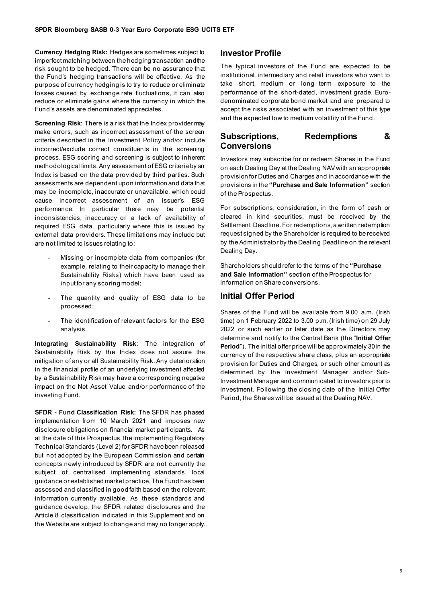**Currency Hedging Risk:** Hedges are sometimes subject to imperfect matching between the hedging transaction and the risk sought to be hedged. There can be no assurance that the Fund's hedging transactions will be effective. As the purpose of currency hedging is to try to reduce or eliminate losses caused by exchange rate fluctuations, it can also reduce or eliminate gains where the currency in which the Fund's assets are denominated appreciates.

**Screening Risk**: There is a risk that the Index provider may make errors, such as incorrect assessment of the screen criteria described in the Investment Policy and/or include incorrect/exclude correct constituents in the screening process. ESG scoring and screening is subject to inherent methodological limits. Any assessment of ESG criteria by an Index is based on the data provided by third parties. Such assessments are dependent upon information and data that may be incomplete, inaccurate or unavailable, which could cause incorrect assessment of an issuer's ESG performance. In particular there may be potential inconsistencies, inaccuracy or a lack of availability of required ESG data, particularly where this is issued by external data providers. These limitations may include but are not limited to issues relating to:

- Missing or incomplete data from companies (for example, relating to their capacity to manage their Sustainability Risks) which have been used as input for any scoring model;
- The quantity and quality of ESG data to be processed;
- The identification of relevant factors for the ESG analysis.

**Integrating Sustainability Risk:** The integration of Sustainability Risk by the Index does not assure the mitigation of any or all Sustainability Risk. Any deterioration in the financial profile of an underlying investment affected by a Sustainability Risk may have a corresponding negative impact on the Net Asset Value and/or performance of the investing Fund.

**SFDR - Fund Classification Risk:** The SFDR has phased implementation from 10 March 2021 and imposes new disclosure obligations on financial market participants. As at the date of this Prospectus, the implementing Regulatory Technical Standards (Level 2) for SFDR have been released but not adopted by the European Commission and certain concepts newly introduced by SFDR are not currently the subject of centralised implementing standards, local guidance or established market practice. The Fund has been assessed and classified in good faith based on the relevant information currently available. As these standards and guidance develop, the SFDR related disclosures and the Article 8 classification indicated in this Supplement and on the Website are subject to change and may no longer apply.

# **Investor Profile**

The typical investors of the Fund are expected to be institutional, intermediary and retail investors who want to take short, medium or long term exposure to the performance of the short-dated, investment grade, Eurodenominated corporate bond market and are prepared to accept the risks associated with an investment of this type and the expected low to medium volatility of the Fund.

# **Subscriptions, Redemptions & Conversions**

Investors may subscribe for or redeem Shares in the Fund on each Dealing Day at the Dealing NAV with an appropriate provision for Duties and Charges and in accordance with the provisions in the **"Purchase and Sale Information"** section of the Prospectus.

For subscriptions, consideration, in the form of cash or cleared in kind securities, must be received by the Settlement Deadline. For redemptions, a written redemption request signed by the Shareholder is required to be received by the Administrator by the Dealing Deadline on the relevant Dealing Day.

Shareholders should refer to the terms of the **"Purchase and Sale Information"** section of the Prospectus for information on Share conversions.

# **Initial Offer Period**

Shares of the Fund will be available from 9.00 a.m. (Irish time) on 1 February 2022 to 3.00 p.m. (Irish time) on 29 July 2022 or such earlier or later date as the Directors may determine and notify to the Central Bank (the "**Initial Offer Period**"). The initial offer price will be approximately 30 in the currency of the respective share class, plus an appropriate provision for Duties and Charges, or such other amount as determined by the Investment Manager and/or Sub-Investment Manager and communicated to investors prior to investment. Following the closing date of the Initial Offer Period, the Shares will be issued at the Dealing NAV.